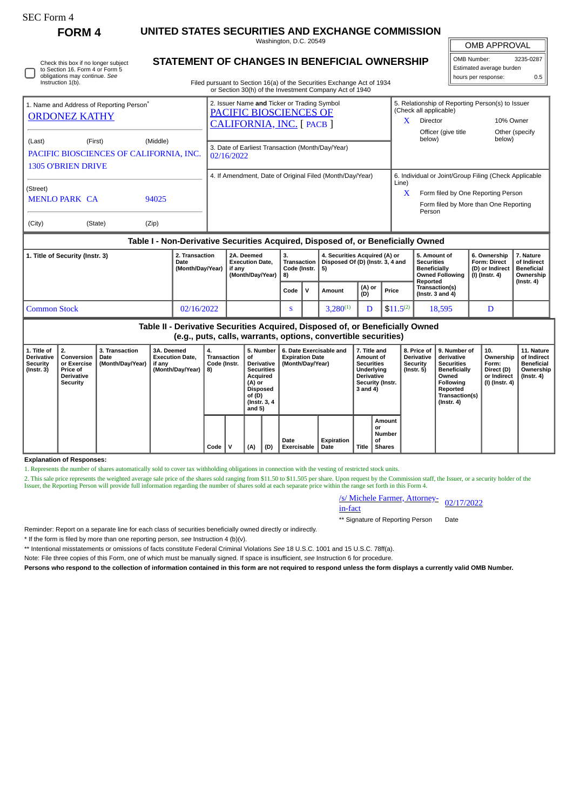| ргггі<br>C<br>г. |
|------------------|
|------------------|

**FORM 4 UNITED STATES SECURITIES AND EXCHANGE COMMISSION**

|                                                                                                                              |          | Washington, D.C. 20549                                                                                                                                                           | <b>OMB APPROVAL</b> |                                    |                                                                             |                                                                                                                                      |
|------------------------------------------------------------------------------------------------------------------------------|----------|----------------------------------------------------------------------------------------------------------------------------------------------------------------------------------|---------------------|------------------------------------|-----------------------------------------------------------------------------|--------------------------------------------------------------------------------------------------------------------------------------|
| Check this box if no longer subject<br>to Section 16. Form 4 or Form 5<br>obligations may continue. See<br>Instruction 1(b). |          | STATEMENT OF CHANGES IN BENEFICIAL OWNERSHIP<br>Filed pursuant to Section 16(a) of the Securities Exchange Act of 1934<br>or Section 30(h) of the Investment Company Act of 1940 |                     |                                    | OMB Number:<br>3235-0287<br>Estimated average burden<br>hours per response: |                                                                                                                                      |
| 1. Name and Address of Reporting Person <sup>®</sup><br><b>ORDONEZ KATHY</b>                                                 |          | 2. Issuer Name and Ticker or Trading Symbol<br><b>PACIFIC BIOSCIENCES OF</b><br>CALIFORNIA, INC. [PACB]                                                                          |                     | (Check all applicable)<br>Director |                                                                             | 5. Relationship of Reporting Person(s) to Issuer<br>10% Owner                                                                        |
| (Last)<br>(First)<br>PACIFIC BIOSCIENCES OF CALIFORNIA, INC.<br><b>1305 O'BRIEN DRIVE</b>                                    | (Middle) | 3. Date of Earliest Transaction (Month/Day/Year)<br>02/16/2022                                                                                                                   |                     | Officer (give title)<br>below)     |                                                                             | Other (specify)<br>below)                                                                                                            |
| (Street)<br><b>MENLO PARK CA</b>                                                                                             | 94025    | 4. If Amendment, Date of Original Filed (Month/Day/Year)                                                                                                                         | Line)               | Person                             |                                                                             | 6. Individual or Joint/Group Filing (Check Applicable<br>Form filed by One Reporting Person<br>Form filed by More than One Reporting |
| (City)<br>(State)                                                                                                            | (Zip)    |                                                                                                                                                                                  |                     |                                    |                                                                             |                                                                                                                                      |

## **Table I - Non-Derivative Securities Acquired, Disposed of, or Beneficially Owned**

| 1. Title of Security (Instr. 3) | 2. Transaction<br>Date<br>(Month/Day/Year) | 2A. Deemed<br><b>Execution Date.</b><br>if anv<br>(Month/Day/Year) | з.<br>Code (Instr. $\vert 5$ )<br>8) |  | 4. Securities Acquired (A) or<br>Transaction   Disposed Of (D) (Instr. 3, 4 and |               |               | 5. Amount of<br><b>Securities</b><br><b>Beneficially</b><br><b>Owned Following</b><br>Reported | 6. Ownership<br><b>Form: Direct</b><br>(D) or Indirect<br>(I) (Instr. 4) | . Nature<br>of Indirect<br>Beneficial<br>Ownership<br>(Instr. 4) |
|---------------------------------|--------------------------------------------|--------------------------------------------------------------------|--------------------------------------|--|---------------------------------------------------------------------------------|---------------|---------------|------------------------------------------------------------------------------------------------|--------------------------------------------------------------------------|------------------------------------------------------------------|
|                                 |                                            |                                                                    | Code                                 |  | Amount                                                                          | (A) or<br>(D) | Price         | Transaction(s)<br>( $Instr. 3 and 4$ )                                                         |                                                                          |                                                                  |
| <b>Common Stock</b>             | 02/16/2022                                 |                                                                    | -0                                   |  | $3.280^{(1)}$                                                                   | D             | $$11.5^{(2)}$ | 18,595                                                                                         | D                                                                        |                                                                  |

| Table II - Derivative Securities Acquired, Disposed of, or Beneficially Owned<br>(e.g., puts, calls, warrants, options, convertible securities) |                                                                                     |                                            |                                                                    |                                                                                                                                                                                    |   |     |                                                                       |                            |                    |                                                                                                                       |                                                            |                                                                                                                                         |                                                                          |                                                                           |  |
|-------------------------------------------------------------------------------------------------------------------------------------------------|-------------------------------------------------------------------------------------|--------------------------------------------|--------------------------------------------------------------------|------------------------------------------------------------------------------------------------------------------------------------------------------------------------------------|---|-----|-----------------------------------------------------------------------|----------------------------|--------------------|-----------------------------------------------------------------------------------------------------------------------|------------------------------------------------------------|-----------------------------------------------------------------------------------------------------------------------------------------|--------------------------------------------------------------------------|---------------------------------------------------------------------------|--|
| 1. Title of<br><b>Derivative</b><br><b>Security</b><br>$($ Instr. 3 $)$                                                                         | 2.<br>Conversion<br>or Exercise<br><b>Price of</b><br><b>Derivative</b><br>Security | 3. Transaction<br>Date<br>(Month/Day/Year) | 3A. Deemed<br><b>Execution Date.</b><br>if any<br>(Month/Day/Year) | 5. Number<br>4.<br>Transaction<br>оt<br>Code (Instr.<br><b>Derivative</b><br><b>Securities</b><br>8)<br>Acquired<br>(A) or<br><b>Disposed</b><br>of (D)<br>(Instr. 3, 4)<br>and 5) |   |     | 6. Date Exercisable and<br><b>Expiration Date</b><br>(Month/Day/Year) |                            |                    | 7. Title and<br>Amount of<br><b>Securities</b><br>Underlying<br><b>Derivative</b><br>Security (Instr.<br>$3$ and $4)$ | 8. Price of<br><b>Derivative</b><br>Security<br>(Instr. 5) | 9. Number of<br>derivative<br><b>Securities</b><br>Beneficially<br>Owned<br>Following<br>Reported<br>Transaction(s)<br>$($ Instr. 4 $)$ | 10.<br>Ownership<br>Form:<br>Direct (D)<br>or Indirect<br>(I) (Instr. 4) | 11. Nature<br>of Indirect<br><b>Beneficial</b><br>Ownership<br>(Instr. 4) |  |
|                                                                                                                                                 |                                                                                     |                                            |                                                                    | Code                                                                                                                                                                               | v | (A) | (D)                                                                   | Date<br><b>Exercisable</b> | Expiration<br>Date | Title                                                                                                                 | Amount<br>or<br>Number<br>οf<br><b>Shares</b>              |                                                                                                                                         |                                                                          |                                                                           |  |

## **Explanation of Responses:**

1. Represents the number of shares automatically sold to cover tax withholding obligations in connection with the vesting of restricted stock units.

2. This sale price represents the weighted average sale price of the shares sold ranging from \$11.50 to \$11.505 per share. Upon request by the Commission staff, the Issuer, or a security holder of the Issuer, the Reporting Person will provide full information regarding the number of shares sold at each separate price within the range set forth in this Form 4.

/s/ Michele Farmer, Attorney-<br>in-fact

\*\* Signature of Reporting Person Date

Reminder: Report on a separate line for each class of securities beneficially owned directly or indirectly.

\* If the form is filed by more than one reporting person, *see* Instruction 4 (b)(v).

\*\* Intentional misstatements or omissions of facts constitute Federal Criminal Violations *See* 18 U.S.C. 1001 and 15 U.S.C. 78ff(a).

Note: File three copies of this Form, one of which must be manually signed. If space is insufficient, *see* Instruction 6 for procedure.

**Persons who respond to the collection of information contained in this form are not required to respond unless the form displays a currently valid OMB Number.**